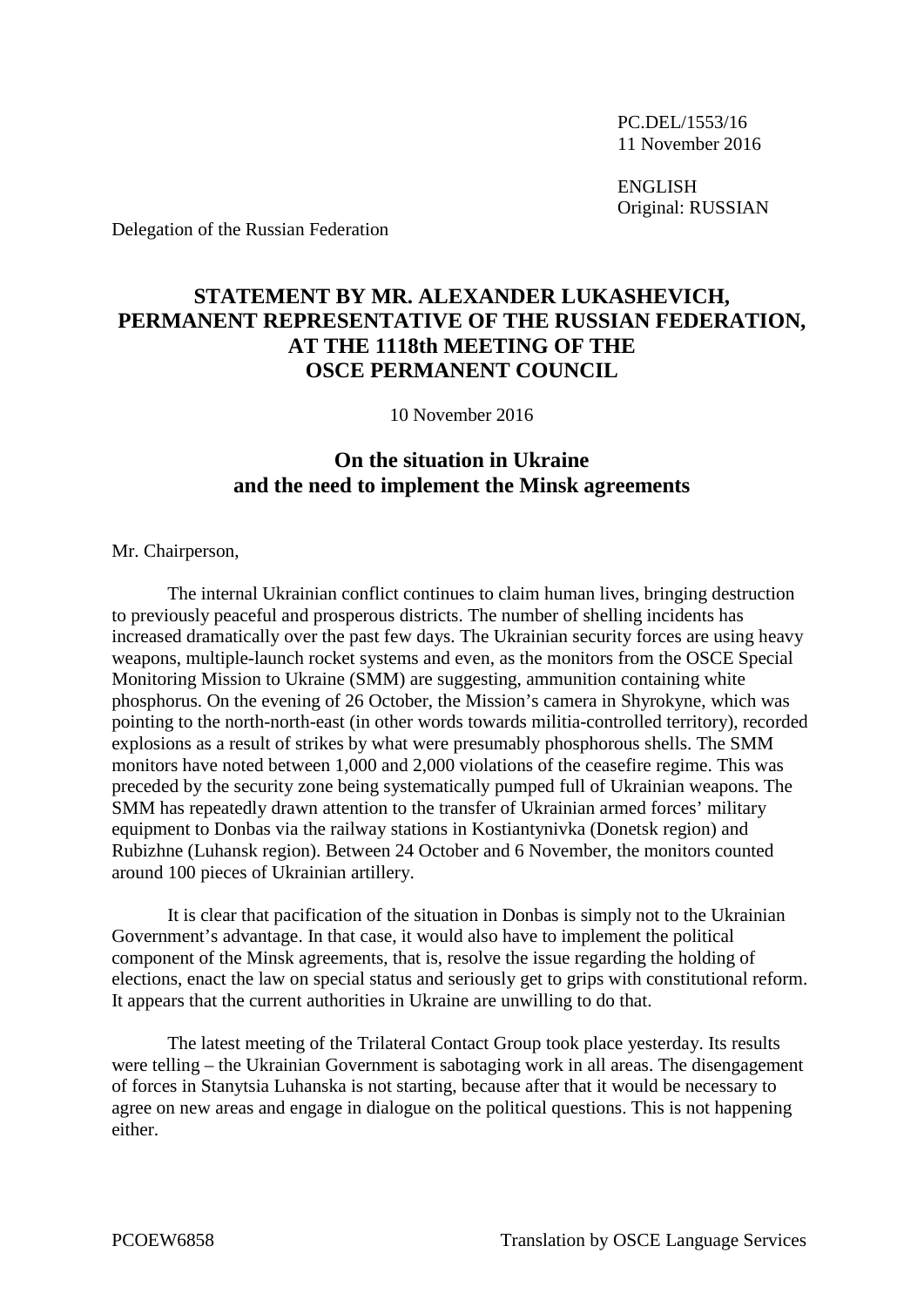PC.DEL/1553/16 11 November 2016

ENGLISH Original: RUSSIAN

Delegation of the Russian Federation

## **STATEMENT BY MR. ALEXANDER LUKASHEVICH, PERMANENT REPRESENTATIVE OF THE RUSSIAN FEDERATION, AT THE 1118th MEETING OF THE OSCE PERMANENT COUNCIL**

10 November 2016

## **On the situation in Ukraine and the need to implement the Minsk agreements**

Mr. Chairperson,

The internal Ukrainian conflict continues to claim human lives, bringing destruction to previously peaceful and prosperous districts. The number of shelling incidents has increased dramatically over the past few days. The Ukrainian security forces are using heavy weapons, multiple-launch rocket systems and even, as the monitors from the OSCE Special Monitoring Mission to Ukraine (SMM) are suggesting, ammunition containing white phosphorus. On the evening of 26 October, the Mission's camera in Shyrokyne, which was pointing to the north-north-east (in other words towards militia-controlled territory), recorded explosions as a result of strikes by what were presumably phosphorous shells. The SMM monitors have noted between 1,000 and 2,000 violations of the ceasefire regime. This was preceded by the security zone being systematically pumped full of Ukrainian weapons. The SMM has repeatedly drawn attention to the transfer of Ukrainian armed forces' military equipment to Donbas via the railway stations in Kostiantynivka (Donetsk region) and Rubizhne (Luhansk region). Between 24 October and 6 November, the monitors counted around 100 pieces of Ukrainian artillery.

It is clear that pacification of the situation in Donbas is simply not to the Ukrainian Government's advantage. In that case, it would also have to implement the political component of the Minsk agreements, that is, resolve the issue regarding the holding of elections, enact the law on special status and seriously get to grips with constitutional reform. It appears that the current authorities in Ukraine are unwilling to do that.

The latest meeting of the Trilateral Contact Group took place yesterday. Its results were telling – the Ukrainian Government is sabotaging work in all areas. The disengagement of forces in Stanytsia Luhanska is not starting, because after that it would be necessary to agree on new areas and engage in dialogue on the political questions. This is not happening either.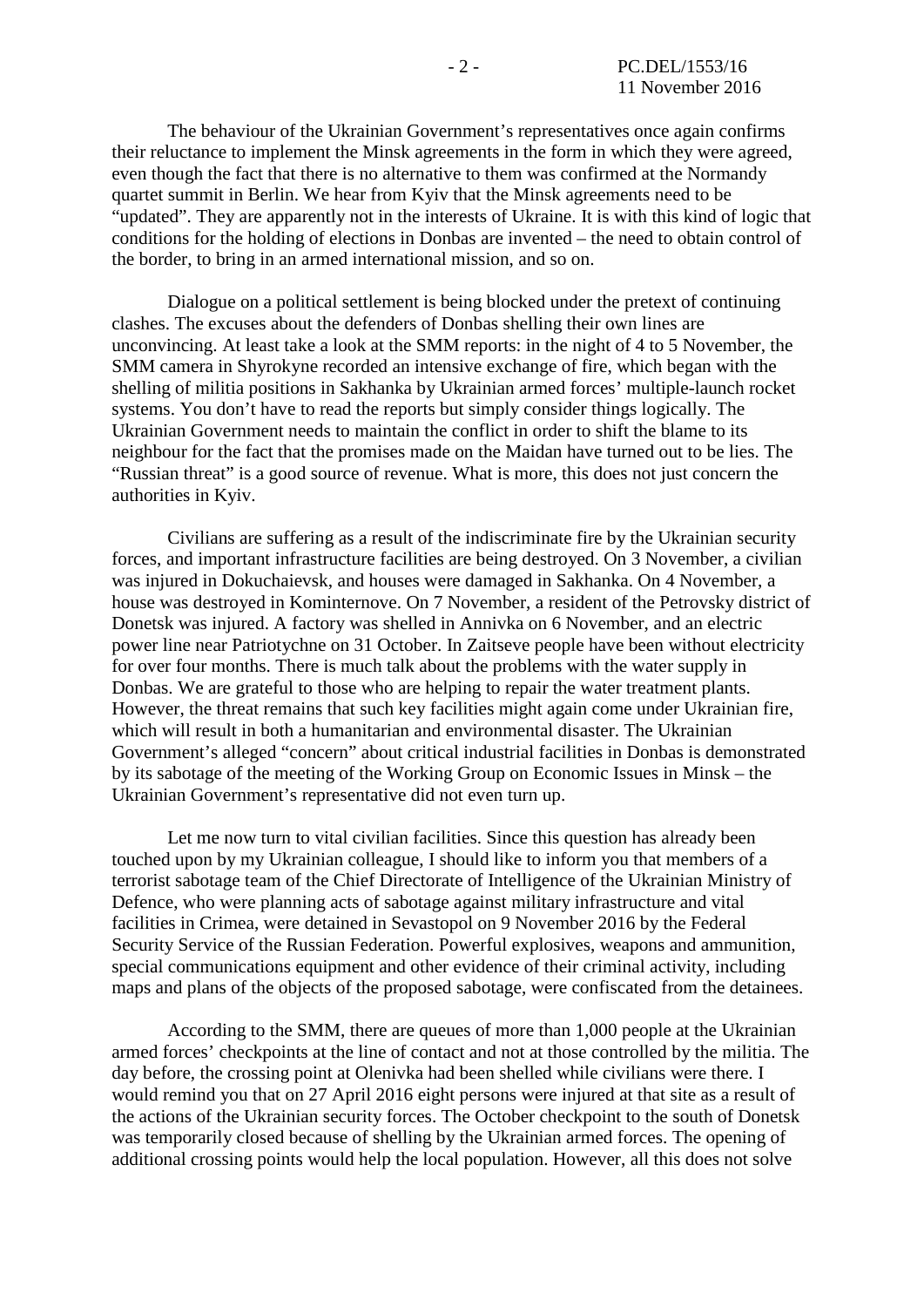The behaviour of the Ukrainian Government's representatives once again confirms their reluctance to implement the Minsk agreements in the form in which they were agreed, even though the fact that there is no alternative to them was confirmed at the Normandy quartet summit in Berlin. We hear from Kyiv that the Minsk agreements need to be "updated". They are apparently not in the interests of Ukraine. It is with this kind of logic that conditions for the holding of elections in Donbas are invented – the need to obtain control of the border, to bring in an armed international mission, and so on.

Dialogue on a political settlement is being blocked under the pretext of continuing clashes. The excuses about the defenders of Donbas shelling their own lines are unconvincing. At least take a look at the SMM reports: in the night of 4 to 5 November, the SMM camera in Shyrokyne recorded an intensive exchange of fire, which began with the shelling of militia positions in Sakhanka by Ukrainian armed forces' multiple-launch rocket systems. You don't have to read the reports but simply consider things logically. The Ukrainian Government needs to maintain the conflict in order to shift the blame to its neighbour for the fact that the promises made on the Maidan have turned out to be lies. The "Russian threat" is a good source of revenue. What is more, this does not just concern the authorities in Kyiv.

Civilians are suffering as a result of the indiscriminate fire by the Ukrainian security forces, and important infrastructure facilities are being destroyed. On 3 November, a civilian was injured in Dokuchaievsk, and houses were damaged in Sakhanka. On 4 November, a house was destroyed in Kominternove. On 7 November, a resident of the Petrovsky district of Donetsk was injured. A factory was shelled in Annivka on 6 November, and an electric power line near Patriotychne on 31 October. In Zaitseve people have been without electricity for over four months. There is much talk about the problems with the water supply in Donbas. We are grateful to those who are helping to repair the water treatment plants. However, the threat remains that such key facilities might again come under Ukrainian fire, which will result in both a humanitarian and environmental disaster. The Ukrainian Government's alleged "concern" about critical industrial facilities in Donbas is demonstrated by its sabotage of the meeting of the Working Group on Economic Issues in Minsk – the Ukrainian Government's representative did not even turn up.

Let me now turn to vital civilian facilities. Since this question has already been touched upon by my Ukrainian colleague, I should like to inform you that members of a terrorist sabotage team of the Chief Directorate of Intelligence of the Ukrainian Ministry of Defence, who were planning acts of sabotage against military infrastructure and vital facilities in Crimea, were detained in Sevastopol on 9 November 2016 by the Federal Security Service of the Russian Federation. Powerful explosives, weapons and ammunition, special communications equipment and other evidence of their criminal activity, including maps and plans of the objects of the proposed sabotage, were confiscated from the detainees.

According to the SMM, there are queues of more than 1,000 people at the Ukrainian armed forces' checkpoints at the line of contact and not at those controlled by the militia. The day before, the crossing point at Olenivka had been shelled while civilians were there. I would remind you that on 27 April 2016 eight persons were injured at that site as a result of the actions of the Ukrainian security forces. The October checkpoint to the south of Donetsk was temporarily closed because of shelling by the Ukrainian armed forces. The opening of additional crossing points would help the local population. However, all this does not solve